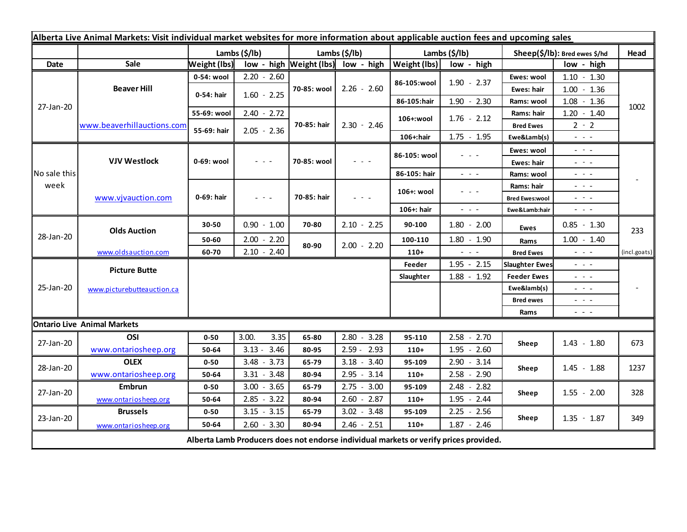| Alberta Live Animal Markets: Visit individual market websites for more information about applicable auction fees and upcoming sales |                            |               |               |               |                           |                                            |                           |                                                                                                                           |                                                                                                                                                                                                                                                                                                                                                                                                                                                |                                                                                                                                                                                                                                                                                                                                                                                                                                                |              |
|-------------------------------------------------------------------------------------------------------------------------------------|----------------------------|---------------|---------------|---------------|---------------------------|--------------------------------------------|---------------------------|---------------------------------------------------------------------------------------------------------------------------|------------------------------------------------------------------------------------------------------------------------------------------------------------------------------------------------------------------------------------------------------------------------------------------------------------------------------------------------------------------------------------------------------------------------------------------------|------------------------------------------------------------------------------------------------------------------------------------------------------------------------------------------------------------------------------------------------------------------------------------------------------------------------------------------------------------------------------------------------------------------------------------------------|--------------|
|                                                                                                                                     |                            | Lambs (\$/lb) |               |               | Lambs $(\frac{2}{3})$ lb) |                                            | Lambs $(\frac{2}{3})$ lb) |                                                                                                                           | Sheep(\$/lb): Bred ewes \$/hd                                                                                                                                                                                                                                                                                                                                                                                                                  |                                                                                                                                                                                                                                                                                                                                                                                                                                                | Head         |
| <b>Date</b>                                                                                                                         | Sale                       | Weight (lbs)  |               |               |                           | low - high $\vert$ Weight (lbs) low - high | Weight (lbs)              | low - high                                                                                                                |                                                                                                                                                                                                                                                                                                                                                                                                                                                | low - high                                                                                                                                                                                                                                                                                                                                                                                                                                     |              |
| 27-Jan-20                                                                                                                           | <b>Beaver Hill</b>         | 0-54: wool    | $2.20 - 2.60$ |               |                           |                                            | 86-105:wool               | $1.90 - 2.37$                                                                                                             | Ewes: wool                                                                                                                                                                                                                                                                                                                                                                                                                                     | $1.10 - 1.30$                                                                                                                                                                                                                                                                                                                                                                                                                                  |              |
|                                                                                                                                     |                            | 0-54: hair    | $1.60 - 2.25$ | 70-85: wool   | $2.26 - 2.60$             |                                            |                           | Ewes: hair                                                                                                                | $1.00 - 1.36$                                                                                                                                                                                                                                                                                                                                                                                                                                  |                                                                                                                                                                                                                                                                                                                                                                                                                                                |              |
|                                                                                                                                     |                            |               |               |               |                           |                                            | 86-105:hair               | $1.90 - 2.30$                                                                                                             | Rams: wool                                                                                                                                                                                                                                                                                                                                                                                                                                     | $1.08 - 1.36$                                                                                                                                                                                                                                                                                                                                                                                                                                  | 1002         |
|                                                                                                                                     | www.beaverhillauctions.com | 55-69: wool   | $2.40 - 2.72$ |               | 70-85: hair               | $2.30 - 2.46$                              | 106+:wool                 | $1.76 - 2.12$                                                                                                             | Rams: hair                                                                                                                                                                                                                                                                                                                                                                                                                                     | $1.20 - 1.40$                                                                                                                                                                                                                                                                                                                                                                                                                                  |              |
|                                                                                                                                     |                            | 55-69: hair   |               | $2.05 - 2.36$ |                           |                                            |                           |                                                                                                                           | <b>Bred Ewes</b>                                                                                                                                                                                                                                                                                                                                                                                                                               | $2 - 2$                                                                                                                                                                                                                                                                                                                                                                                                                                        |              |
|                                                                                                                                     |                            |               |               |               |                           |                                            | 106+:hair                 | $1.75 - 1.95$                                                                                                             | Ewe&Lamb(s)                                                                                                                                                                                                                                                                                                                                                                                                                                    | $\sim$ 100 $\sim$                                                                                                                                                                                                                                                                                                                                                                                                                              |              |
| No sale this<br>week                                                                                                                | <b>VJV Westlock</b>        | 0-69: wool    | $ -$          |               | 70-85: wool               | - - -                                      | 86-105: wool              | $  -$                                                                                                                     | Ewes: wool                                                                                                                                                                                                                                                                                                                                                                                                                                     | $\sim$ 100 $\sim$                                                                                                                                                                                                                                                                                                                                                                                                                              |              |
|                                                                                                                                     |                            |               |               |               |                           |                                            |                           |                                                                                                                           | Ewes: hair                                                                                                                                                                                                                                                                                                                                                                                                                                     | $\omega_{\rm{eff}}$ and $\omega_{\rm{eff}}$                                                                                                                                                                                                                                                                                                                                                                                                    |              |
|                                                                                                                                     |                            |               |               |               |                           |                                            | 86-105: hair              | $\omega_{\rm{eff}}$ , $\omega_{\rm{eff}}$ , $\omega_{\rm{eff}}$                                                           | Rams: wool                                                                                                                                                                                                                                                                                                                                                                                                                                     | $\frac{1}{2} \left( \frac{1}{2} \right) \frac{1}{2} \left( \frac{1}{2} \right) \frac{1}{2} \left( \frac{1}{2} \right) \frac{1}{2} \left( \frac{1}{2} \right) \frac{1}{2} \left( \frac{1}{2} \right) \frac{1}{2} \left( \frac{1}{2} \right) \frac{1}{2} \left( \frac{1}{2} \right) \frac{1}{2} \left( \frac{1}{2} \right) \frac{1}{2} \left( \frac{1}{2} \right) \frac{1}{2} \left( \frac{1}{2} \right) \frac{1}{2} \left( \frac{1}{2} \right)$ |              |
|                                                                                                                                     | www.vjvauction.com         | 0-69: hair    | $  -$         |               | 70-85: hair               | $  -$                                      | 106+: wool                | $  -$                                                                                                                     | Rams: hair                                                                                                                                                                                                                                                                                                                                                                                                                                     | $\frac{1}{2} \left( \frac{1}{2} \right) \left( \frac{1}{2} \right) \left( \frac{1}{2} \right) \left( \frac{1}{2} \right)$                                                                                                                                                                                                                                                                                                                      |              |
|                                                                                                                                     |                            |               |               |               |                           |                                            |                           | $\frac{1}{2} \left( \frac{1}{2} \right) \left( \frac{1}{2} \right) \left( \frac{1}{2} \right) \left( \frac{1}{2} \right)$ | <b>Bred Ewes:wool</b>                                                                                                                                                                                                                                                                                                                                                                                                                          | - - -<br>$\sim$ 100 $\sim$                                                                                                                                                                                                                                                                                                                                                                                                                     |              |
| 28-Jan-20                                                                                                                           | <b>Olds Auction</b>        |               |               |               |                           |                                            | 106+: hair                |                                                                                                                           | Ewe&Lamb:hair                                                                                                                                                                                                                                                                                                                                                                                                                                  |                                                                                                                                                                                                                                                                                                                                                                                                                                                |              |
|                                                                                                                                     |                            | 30-50         | $0.90 - 1.00$ |               | 70-80                     | $2.10 - 2.25$                              | 90-100                    | $1.80 - 2.00$                                                                                                             | <b>Ewes</b>                                                                                                                                                                                                                                                                                                                                                                                                                                    | $0.85 - 1.30$                                                                                                                                                                                                                                                                                                                                                                                                                                  | 233          |
|                                                                                                                                     |                            | 50-60         | $2.00 - 2.20$ |               | 80-90                     | $2.00 - 2.20$                              | 100-110                   | $1.80 - 1.90$                                                                                                             | Rams                                                                                                                                                                                                                                                                                                                                                                                                                                           | $1.00 - 1.40$                                                                                                                                                                                                                                                                                                                                                                                                                                  |              |
|                                                                                                                                     | www.oldsauction.com        | 60-70         | $2.10 - 2.40$ |               |                           |                                            | $110+$                    | $\omega_{\rm{eff}}$ and $\omega_{\rm{eff}}$                                                                               | <b>Bred Ewes</b>                                                                                                                                                                                                                                                                                                                                                                                                                               | $\sim$ 10 $\sim$                                                                                                                                                                                                                                                                                                                                                                                                                               | (incl.goats) |
| 25-Jan-20                                                                                                                           | <b>Picture Butte</b>       |               |               |               |                           |                                            | Feeder                    | $1.95 - 2.15$                                                                                                             | <b>Slaughter Ewes</b>                                                                                                                                                                                                                                                                                                                                                                                                                          | $\frac{1}{2} \left( \frac{1}{2} \right) \left( \frac{1}{2} \right) \left( \frac{1}{2} \right) \left( \frac{1}{2} \right)$                                                                                                                                                                                                                                                                                                                      |              |
|                                                                                                                                     | www.picturebutteauction.ca |               |               |               |                           | Slaughter                                  | $1.88 - 1.92$             | <b>Feeder Ewes</b>                                                                                                        | $\frac{1}{2} \left( \frac{1}{2} \right) \frac{1}{2} \left( \frac{1}{2} \right) \frac{1}{2} \left( \frac{1}{2} \right) \frac{1}{2} \left( \frac{1}{2} \right) \frac{1}{2} \left( \frac{1}{2} \right) \frac{1}{2} \left( \frac{1}{2} \right) \frac{1}{2} \left( \frac{1}{2} \right) \frac{1}{2} \left( \frac{1}{2} \right) \frac{1}{2} \left( \frac{1}{2} \right) \frac{1}{2} \left( \frac{1}{2} \right) \frac{1}{2} \left( \frac{1}{2} \right)$ |                                                                                                                                                                                                                                                                                                                                                                                                                                                |              |
|                                                                                                                                     |                            |               |               |               |                           |                                            |                           | Ewe&lamb(s)                                                                                                               | $\frac{1}{2} \left( \frac{1}{2} \right) \left( \frac{1}{2} \right) \left( \frac{1}{2} \right) \left( \frac{1}{2} \right)$                                                                                                                                                                                                                                                                                                                      |                                                                                                                                                                                                                                                                                                                                                                                                                                                |              |
|                                                                                                                                     |                            |               |               |               |                           |                                            |                           |                                                                                                                           | <b>Bred ewes</b>                                                                                                                                                                                                                                                                                                                                                                                                                               | $\omega_{\rm{eff}}$ and $\omega_{\rm{eff}}$                                                                                                                                                                                                                                                                                                                                                                                                    |              |
|                                                                                                                                     |                            |               |               |               |                           |                                            |                           |                                                                                                                           | Rams                                                                                                                                                                                                                                                                                                                                                                                                                                           | $\frac{1}{2} \left( \frac{1}{2} \right) \frac{1}{2} \left( \frac{1}{2} \right) \frac{1}{2} \left( \frac{1}{2} \right) \frac{1}{2} \left( \frac{1}{2} \right) \frac{1}{2} \left( \frac{1}{2} \right) \frac{1}{2} \left( \frac{1}{2} \right) \frac{1}{2} \left( \frac{1}{2} \right) \frac{1}{2} \left( \frac{1}{2} \right) \frac{1}{2} \left( \frac{1}{2} \right) \frac{1}{2} \left( \frac{1}{2} \right) \frac{1}{2} \left( \frac{1}{2} \right)$ |              |
| <b>Ontario Live Animal Markets</b>                                                                                                  |                            |               |               |               |                           |                                            |                           |                                                                                                                           |                                                                                                                                                                                                                                                                                                                                                                                                                                                |                                                                                                                                                                                                                                                                                                                                                                                                                                                |              |
| 27-Jan-20<br>28-Jan-20                                                                                                              | OSI                        | $0 - 50$      | 3.00.         | 3.35          | 65-80                     | $2.80 - 3.28$                              | 95-110                    | $2.58 - 2.70$                                                                                                             | Sheep                                                                                                                                                                                                                                                                                                                                                                                                                                          | $1.43 - 1.80$                                                                                                                                                                                                                                                                                                                                                                                                                                  | 673          |
|                                                                                                                                     | www.ontariosheep.org       | 50-64         | $3.13 - 3.46$ |               | 80-95                     | $2.59 - 2.93$                              | $110+$                    | $1.95 - 2.60$                                                                                                             |                                                                                                                                                                                                                                                                                                                                                                                                                                                |                                                                                                                                                                                                                                                                                                                                                                                                                                                |              |
|                                                                                                                                     | <b>OLEX</b>                | $0 - 50$      | $3.48 - 3.73$ |               | 65-79                     | $3.18 - 3.40$                              | 95-109                    | $2.90 - 3.14$                                                                                                             | Sheep                                                                                                                                                                                                                                                                                                                                                                                                                                          | $1.45 - 1.88$                                                                                                                                                                                                                                                                                                                                                                                                                                  | 1237         |
|                                                                                                                                     | www.ontariosheep.org       | 50-64         | $3.31 - 3.48$ |               | 80-94                     | $2.95 - 3.14$                              | $110+$                    | $2.58 - 2.90$                                                                                                             |                                                                                                                                                                                                                                                                                                                                                                                                                                                |                                                                                                                                                                                                                                                                                                                                                                                                                                                |              |
| 27-Jan-20<br>23-Jan-20                                                                                                              | <b>Embrun</b>              | $0 - 50$      | $3.00 - 3.65$ |               | 65-79                     | $2.75 - 3.00$                              | 95-109                    | $2.48 - 2.82$                                                                                                             | Sheep                                                                                                                                                                                                                                                                                                                                                                                                                                          | $1.55 - 2.00$                                                                                                                                                                                                                                                                                                                                                                                                                                  | 328          |
|                                                                                                                                     | www.ontariosheep.org       | 50-64         | $2.85 - 3.22$ |               | 80-94                     | $2.60 - 2.87$                              | $110+$                    | $1.95 - 2.44$                                                                                                             |                                                                                                                                                                                                                                                                                                                                                                                                                                                |                                                                                                                                                                                                                                                                                                                                                                                                                                                |              |
|                                                                                                                                     | <b>Brussels</b>            | $0 - 50$      | $3.15 - 3.15$ |               | 65-79                     | $3.02 - 3.48$                              | 95-109                    | $2.25 - 2.56$                                                                                                             | Sheep                                                                                                                                                                                                                                                                                                                                                                                                                                          | $1.35 - 1.87$                                                                                                                                                                                                                                                                                                                                                                                                                                  | 349          |
| $2.60 - 3.30$<br>50-64<br>80-94<br>$2.46 - 2.51$<br>$110+$<br>$1.87 - 2.46$<br>www.ontariosheep.org                                 |                            |               |               |               |                           |                                            |                           |                                                                                                                           |                                                                                                                                                                                                                                                                                                                                                                                                                                                |                                                                                                                                                                                                                                                                                                                                                                                                                                                |              |
| Alberta Lamb Producers does not endorse individual markets or verify prices provided.                                               |                            |               |               |               |                           |                                            |                           |                                                                                                                           |                                                                                                                                                                                                                                                                                                                                                                                                                                                |                                                                                                                                                                                                                                                                                                                                                                                                                                                |              |